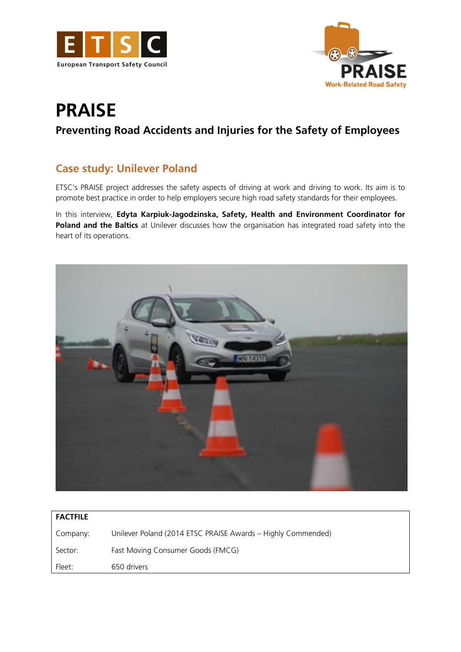



# **PRAISE**

## **Preventing Road Accidents and Injuries for the Safety of Employees**

### **Case study: Unilever Poland**

ETSC's PRAISE project addresses the safety aspects of driving at work and driving to work. Its aim is to promote best practice in order to help employers secure high road safety standards for their employees.

In this interview, **Edyta Karpiuk-Jagodzinska, Safety, Health and Environment Coordinator for Poland and the Baltics** at Unilever discusses how the organisation has integrated road safety into the heart of its operations.



| <b>FACTFILE</b> |                                                              |
|-----------------|--------------------------------------------------------------|
| Company:        | Unilever Poland (2014 ETSC PRAISE Awards - Highly Commended) |
| Sector:         | Fast Moving Consumer Goods (FMCG)                            |
| Fleet:          | 650 drivers                                                  |
|                 |                                                              |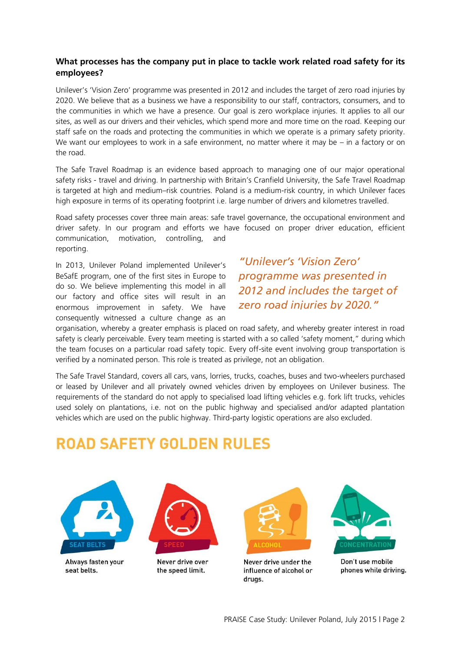#### **What processes has the company put in place to tackle work related road safety for its employees?**

Unilever's 'Vision Zero' programme was presented in 2012 and includes the target of zero road injuries by 2020. We believe that as a business we have a responsibility to our staff, contractors, consumers, and to the communities in which we have a presence. Our goal is zero workplace injuries. It applies to all our sites, as well as our drivers and their vehicles, which spend more and more time on the road. Keeping our staff safe on the roads and protecting the communities in which we operate is a primary safety priority. We want our employees to work in a safe environment, no matter where it may be – in a factory or on the road.

The Safe Travel Roadmap is an evidence based approach to managing one of our major operational safety risks - travel and driving. In partnership with Britain's Cranfield University, the Safe Travel Roadmap is targeted at high and medium–risk countries. Poland is a medium-risk country, in which Unilever faces high exposure in terms of its operating footprint i.e. large number of drivers and kilometres travelled.

Road safety processes cover three main areas: safe travel governance, the occupational environment and driver safety. In our program and efforts we have focused on proper driver education, efficient communication, motivation, controlling, and reporting.

In 2013, Unilever Poland implemented Unilever's BeSafE program, one of the first sites in Europe to do so. We believe implementing this model in all our factory and office sites will result in an enormous improvement in safety. We have consequently witnessed a culture change as an

*"Unilever's 'Vision Zero' programme was presented in 2012 and includes the target of zero road injuries by 2020."* 

organisation, whereby a greater emphasis is placed on road safety, and whereby greater interest in road safety is clearly perceivable. Every team meeting is started with a so called 'safety moment," during which the team focuses on a particular road safety topic. Every off-site event involving group transportation is verified by a nominated person. This role is treated as privilege, not an obligation.

The Safe Travel Standard, covers all cars, vans, lorries, trucks, coaches, buses and two-wheelers purchased or leased by Unilever and all privately owned vehicles driven by employees on Unilever business. The requirements of the standard do not apply to specialised load lifting vehicles e.g. fork lift trucks, vehicles used solely on plantations, i.e. not on the public highway and specialised and/or adapted plantation vehicles which are used on the public highway. Third-party logistic operations are also excluded.

## **ROAD SAFETY GOLDEN RULES**



Always fasten your seat helts



Never drive over the speed limit.



Never drive under the influence of alcohol or drugs.



Don't use mobile phones while driving.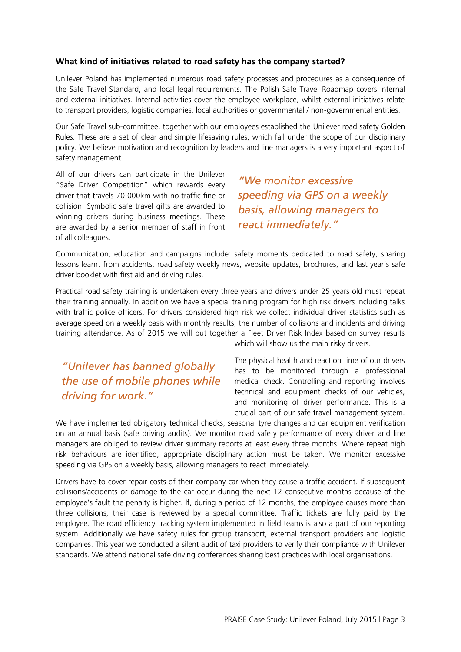#### **What kind of initiatives related to road safety has the company started?**

Unilever Poland has implemented numerous road safety processes and procedures as a consequence of the Safe Travel Standard, and local legal requirements. The Polish Safe Travel Roadmap covers internal and external initiatives. Internal activities cover the employee workplace, whilst external initiatives relate to transport providers, logistic companies, local authorities or governmental / non-governmental entities.

Our Safe Travel sub-committee, together with our employees established the Unilever road safety Golden Rules. These are a set of clear and simple lifesaving rules, which fall under the scope of our disciplinary policy. We believe motivation and recognition by leaders and line managers is a very important aspect of safety management.

All of our drivers can participate in the Unilever "Safe Driver Competition" which rewards every driver that travels 70 000km with no traffic fine or collision. Symbolic safe travel gifts are awarded to winning drivers during business meetings. These are awarded by a senior member of staff in front of all colleagues.

*"We monitor excessive speeding via GPS on a weekly basis, allowing managers to react immediately."* 

Communication, education and campaigns include: safety moments dedicated to road safety, sharing lessons learnt from accidents, road safety weekly news, website updates, brochures, and last year's safe driver booklet with first aid and driving rules.

Practical road safety training is undertaken every three years and drivers under 25 years old must repeat their training annually. In addition we have a special training program for high risk drivers including talks with traffic police officers. For drivers considered high risk we collect individual driver statistics such as average speed on a weekly basis with monthly results, the number of collisions and incidents and driving training attendance. As of 2015 we will put together a Fleet Driver Risk Index based on survey results

*"Unilever has banned globally the use of mobile phones while driving for work."* 

which will show us the main risky drivers.

The physical health and reaction time of our drivers has to be monitored through a professional medical check. Controlling and reporting involves technical and equipment checks of our vehicles, and monitoring of driver performance. This is a crucial part of our safe travel management system.

We have implemented obligatory technical checks, seasonal tyre changes and car equipment verification on an annual basis (safe driving audits). We monitor road safety performance of every driver and line managers are obliged to review driver summary reports at least every three months. Where repeat high risk behaviours are identified, appropriate disciplinary action must be taken. We monitor excessive speeding via GPS on a weekly basis, allowing managers to react immediately.

Drivers have to cover repair costs of their company car when they cause a traffic accident. If subsequent collisions/accidents or damage to the car occur during the next 12 consecutive months because of the employee's fault the penalty is higher. If, during a period of 12 months, the employee causes more than three collisions, their case is reviewed by a special committee. Traffic tickets are fully paid by the employee. The road efficiency tracking system implemented in field teams is also a part of our reporting system. Additionally we have safety rules for group transport, external transport providers and logistic companies. This year we conducted a silent audit of taxi providers to verify their compliance with Unilever standards. We attend national safe driving conferences sharing best practices with local organisations.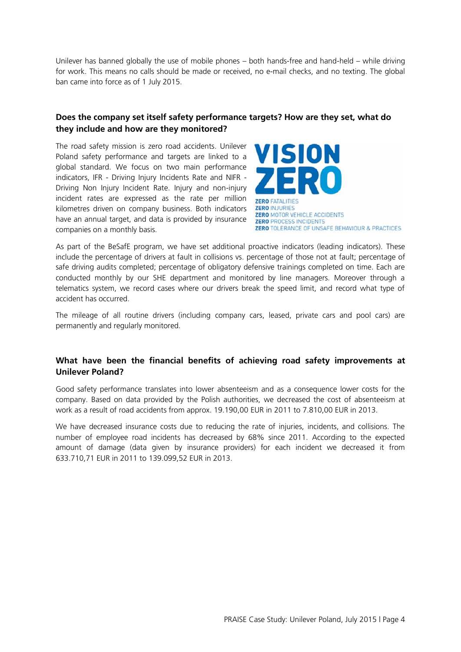Unilever has banned globally the use of mobile phones – both hands-free and hand-held – while driving for work. This means no calls should be made or received, no e-mail checks, and no texting. The global ban came into force as of 1 July 2015.

#### **Does the company set itself safety performance targets? How are they set, what do they include and how are they monitored?**

The road safety mission is zero road accidents. Unilever Poland safety performance and targets are linked to a global standard. We focus on two main performance indicators, IFR - Driving Injury Incidents Rate and NIFR - Driving Non Injury Incident Rate. Injury and non-injury incident rates are expressed as the rate per million kilometres driven on company business. Both indicators have an annual target, and data is provided by insurance companies on a monthly basis.



As part of the BeSafE program, we have set additional proactive indicators (leading indicators). These include the percentage of drivers at fault in collisions vs. percentage of those not at fault; percentage of safe driving audits completed; percentage of obligatory defensive trainings completed on time. Each are conducted monthly by our SHE department and monitored by line managers. Moreover through a telematics system, we record cases where our drivers break the speed limit, and record what type of accident has occurred.

The mileage of all routine drivers (including company cars, leased, private cars and pool cars) are permanently and regularly monitored.

#### **What have been the financial benefits of achieving road safety improvements at Unilever Poland?**

Good safety performance translates into lower absenteeism and as a consequence lower costs for the company. Based on data provided by the Polish authorities, we decreased the cost of absenteeism at work as a result of road accidents from approx. 19.190,00 EUR in 2011 to 7.810,00 EUR in 2013.

We have decreased insurance costs due to reducing the rate of injuries, incidents, and collisions. The number of employee road incidents has decreased by 68% since 2011. According to the expected amount of damage (data given by insurance providers) for each incident we decreased it from 633.710,71 EUR in 2011 to 139.099,52 EUR in 2013.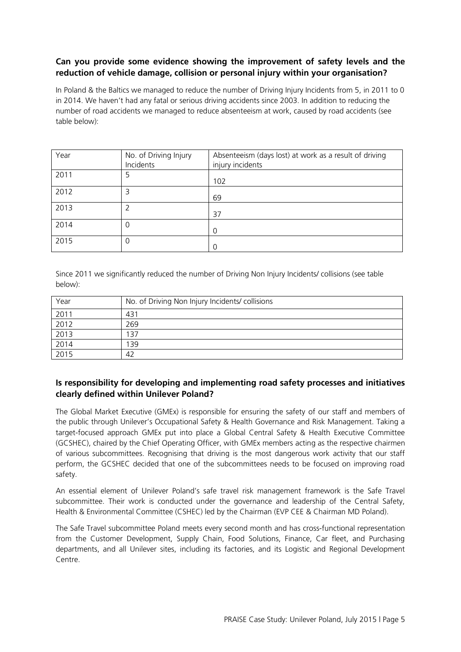#### **Can you provide some evidence showing the improvement of safety levels and the reduction of vehicle damage, collision or personal injury within your organisation?**

In Poland & the Baltics we managed to reduce the number of Driving Injury Incidents from 5, in 2011 to 0 in 2014. We haven't had any fatal or serious driving accidents since 2003. In addition to reducing the number of road accidents we managed to reduce absenteeism at work, caused by road accidents (see table below):

| Year | No. of Driving Injury<br>Incidents | Absenteeism (days lost) at work as a result of driving<br>injury incidents |
|------|------------------------------------|----------------------------------------------------------------------------|
| 2011 | 5                                  | 102                                                                        |
| 2012 | 3                                  | 69                                                                         |
| 2013 | 2                                  | 37                                                                         |
| 2014 | 0                                  | $\overline{0}$                                                             |
| 2015 | 0                                  | $\Omega$                                                                   |

Since 2011 we significantly reduced the number of Driving Non Injury Incidents/ collisions (see table below):

| Year | No. of Driving Non Injury Incidents/ collisions |
|------|-------------------------------------------------|
| 2011 | 431                                             |
| 2012 | 269                                             |
| 2013 | 137                                             |
| 2014 | 39                                              |
| 2015 | 42                                              |

#### **Is responsibility for developing and implementing road safety processes and initiatives clearly defined within Unilever Poland?**

The Global Market Executive (GMEx) is responsible for ensuring the safety of our staff and members of the public through Unilever's Occupational Safety & Health Governance and Risk Management. Taking a target-focused approach GMEx put into place a Global Central Safety & Health Executive Committee (GCSHEC), chaired by the Chief Operating Officer, with GMEx members acting as the respective chairmen of various subcommittees. Recognising that driving is the most dangerous work activity that our staff perform, the GCSHEC decided that one of the subcommittees needs to be focused on improving road safety.

An essential element of Unilever Poland's safe travel risk management framework is the Safe Travel subcommittee. Their work is conducted under the governance and leadership of the Central Safety, Health & Environmental Committee (CSHEC) led by the Chairman (EVP CEE & Chairman MD Poland).

The Safe Travel subcommittee Poland meets every second month and has cross-functional representation from the Customer Development, Supply Chain, Food Solutions, Finance, Car fleet, and Purchasing departments, and all Unilever sites, including its factories, and its Logistic and Regional Development Centre.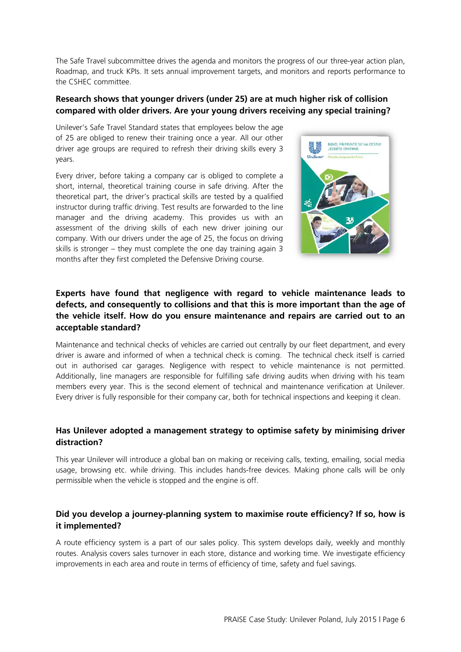The Safe Travel subcommittee drives the agenda and monitors the progress of our three-year action plan, Roadmap, and truck KPIs. It sets annual improvement targets, and monitors and reports performance to the CSHEC committee.

#### **Research shows that younger drivers (under 25) are at much higher risk of collision compared with older drivers. Are your young drivers receiving any special training?**

Unilever's Safe Travel Standard states that employees below the age of 25 are obliged to renew their training once a year. All our other driver age groups are required to refresh their driving skills every 3 years.

Every driver, before taking a company car is obliged to complete a short, internal, theoretical training course in safe driving. After the theoretical part, the driver's practical skills are tested by a qualified instructor during traffic driving. Test results are forwarded to the line manager and the driving academy. This provides us with an assessment of the driving skills of each new driver joining our company. With our drivers under the age of 25, the focus on driving skills is stronger – they must complete the one day training again 3 months after they first completed the Defensive Driving course.



#### **Experts have found that negligence with regard to vehicle maintenance leads to defects, and consequently to collisions and that this is more important than the age of the vehicle itself. How do you ensure maintenance and repairs are carried out to an acceptable standard?**

Maintenance and technical checks of vehicles are carried out centrally by our fleet department, and every driver is aware and informed of when a technical check is coming. The technical check itself is carried out in authorised car garages. Negligence with respect to vehicle maintenance is not permitted. Additionally, line managers are responsible for fulfilling safe driving audits when driving with his team members every year. This is the second element of technical and maintenance verification at Unilever. Every driver is fully responsible for their company car, both for technical inspections and keeping it clean.

#### **Has Unilever adopted a management strategy to optimise safety by minimising driver distraction?**

This year Unilever will introduce a global ban on making or receiving calls, texting, emailing, social media usage, browsing etc. while driving. This includes hands-free devices. Making phone calls will be only permissible when the vehicle is stopped and the engine is off.

#### **Did you develop a journey-planning system to maximise route efficiency? If so, how is it implemented?**

A route efficiency system is a part of our sales policy. This system develops daily, weekly and monthly routes. Analysis covers sales turnover in each store, distance and working time. We investigate efficiency improvements in each area and route in terms of efficiency of time, safety and fuel savings.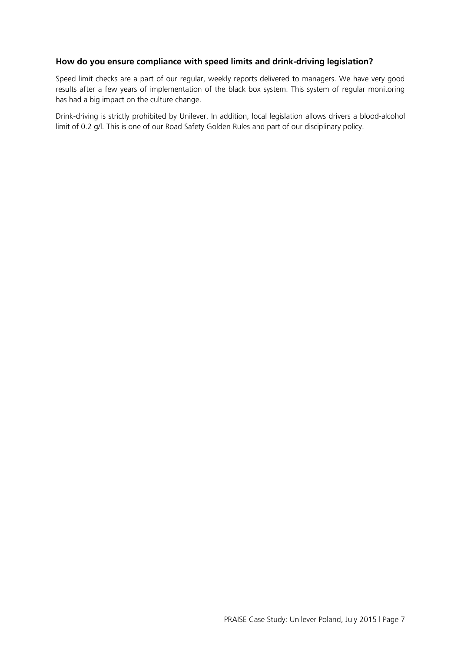#### **How do you ensure compliance with speed limits and drink-driving legislation?**

Speed limit checks are a part of our regular, weekly reports delivered to managers. We have very good results after a few years of implementation of the black box system. This system of regular monitoring has had a big impact on the culture change.

Drink-driving is strictly prohibited by Unilever. In addition, local legislation allows drivers a blood-alcohol limit of 0.2 g/l. This is one of our Road Safety Golden Rules and part of our disciplinary policy.